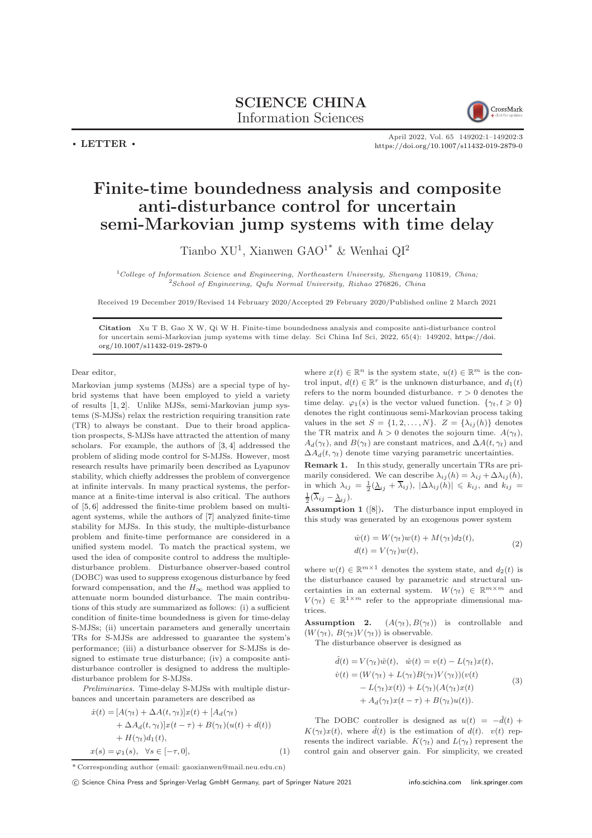

April 2022, Vol. 65 149202:1–149202[:3](#page-2-0) <https://doi.org/10.1007/s11432-019-2879-0>

## Finite-time boundedness analysis and composite anti-disturbance control for uncertain semi-Markovian jump systems with time delay

Tianbo XU<sup>1</sup>, Xianwen GAO<sup>1\*</sup> & Wenhai QI<sup>2</sup>

 $1$ College of Information Science and Engineering, Northeastern University, Shenyang 110819, China;  $2$ School of Engineering, Qufu Normal University, Rizhao 276826, China

Received 19 December 2019/Revised 14 February 2020/Accepted 29 February 2020/Published online 2 March 2021

Citation Xu T B, Gao X W, Qi W H. Finite-time boundedness analysis and composite anti-disturbance control for uncertain semi-Markovian jump systems with time delay. Sci China Inf Sci, 2022, 65(4): 149202, [https://doi.](https://doi.org/10.1007/s11432-019-2879-0) [org/10.1007/s11432-019-2879-0](https://doi.org/10.1007/s11432-019-2879-0)

Dear editor,

 $\cdot$  LETTER  $\cdot$ 

Markovian jump systems (MJSs) are a special type of hybrid systems that have been employed to yield a variety of results [\[1,](#page-2-1) [2\]](#page-2-2). Unlike MJSs, semi-Markovian jump systems (S-MJSs) relax the restriction requiring transition rate (TR) to always be constant. Due to their broad application prospects, S-MJSs have attracted the attention of many scholars. For example, the authors of [\[3,](#page-2-3) [4\]](#page-2-4) addressed the problem of sliding mode control for S-MJSs. However, most research results have primarily been described as Lyapunov stability, which chiefly addresses the problem of convergence at infinite intervals. In many practical systems, the performance at a finite-time interval is also critical. The authors of [\[5,](#page-2-5) [6\]](#page-2-6) addressed the finite-time problem based on multiagent systems, while the authors of [\[7\]](#page-2-7) analyzed finite-time stability for MJSs. In this study, the multiple-disturbance problem and finite-time performance are considered in a unified system model. To match the practical system, we used the idea of composite control to address the multipledisturbance problem. Disturbance observer-based control (DOBC) was used to suppress exogenous disturbance by feed forward compensation, and the  $H_{\infty}$  method was applied to attenuate norm bounded disturbance. The main contributions of this study are summarized as follows: (i) a sufficient condition of finite-time boundedness is given for time-delay S-MJSs; (ii) uncertain parameters and generally uncertain TRs for S-MJSs are addressed to guarantee the system's performance; (iii) a disturbance observer for S-MJSs is designed to estimate true disturbance; (iv) a composite antidisturbance controller is designed to address the multipledisturbance problem for S-MJSs.

Preliminaries. Time-delay S-MJSs with multiple disturbances and uncertain parameters are described as

$$
\begin{aligned}\n\dot{x}(t) &= [A(\gamma_t) + \Delta A(t, \gamma_t)]x(t) + [A_d(\gamma_t) \\
&\quad + \Delta A_d(t, \gamma_t)]x(t - \tau) + B(\gamma_t)(u(t) + d(t)) \\
&\quad + H(\gamma_t)d_1(t), \\
x(s) &= \varphi_1(s), \quad \forall s \in [-\tau, 0],\n\end{aligned} \tag{1}
$$

where  $x(t) \in \mathbb{R}^n$  is the system state,  $u(t) \in \mathbb{R}^m$  is the control input,  $d(t) \in \mathbb{R}^r$  is the unknown disturbance, and  $d_1(t)$ refers to the norm bounded disturbance.  $\tau > 0$  denotes the time delay.  $\varphi_1(s)$  is the vector valued function.  $\{\gamma_t, t \geq 0\}$ denotes the right continuous semi-Markovian process taking values in the set  $S = \{1, 2, ..., N\}$ .  $Z = \{\lambda_{ij}(h)\}\)$  denotes the TR matrix and  $h > 0$  denotes the sojourn time.  $A(\gamma_t)$ ,  $A_d(\gamma_t)$ , and  $B(\gamma_t)$  are constant matrices, and  $\Delta A(t, \gamma_t)$  and  $\Delta A_d(t, \gamma_t)$  denote time varying parametric uncertainties.

Remark 1. In this study, generally uncertain TRs are primarily considered. We can describe  $\lambda_{ij}(h) = \lambda_{ij} + \Delta \lambda_{ij}(h)$ , in which  $\lambda_{ij} = \frac{1}{2}(\underline{\lambda}_{ij} + \overline{\lambda}_{ij})$ ,  $|\Delta \lambda_{ij}(h)| \leq k_{ij}$ , and  $k_{ij} =$  $\frac{1}{2}(\overline{\lambda}_{ij}-\underline{\lambda}_{ij}).$ 

Assumption 1 ([\[8\]](#page-2-8)). The disturbance input employed in this study was generated by an exogenous power system

$$
\dot{w}(t) = W(\gamma_t)w(t) + M(\gamma_t)d_2(t),
$$
  
\n
$$
d(t) = V(\gamma_t)w(t),
$$
\n(2)

where  $w(t) \in \mathbb{R}^{m \times 1}$  denotes the system state, and  $d_2(t)$  is the disturbance caused by parametric and structural uncertainties in an external system.  $W(\gamma_t) \in \mathbb{R}^{m \times m}$  and  $V(\gamma_t) \in \mathbb{R}^{1 \times m}$  refer to the appropriate dimensional matrices.

**Assumption 2.**  $(A(\gamma_t), B(\gamma_t))$  is controllable and  $(W(\gamma_t), B(\gamma_t)V(\gamma_t))$  is observable.

The disturbance observer is designed as

$$
\hat{d}(t) = V(\gamma_t)\hat{w}(t), \quad \hat{w}(t) = v(t) - L(\gamma_t)x(t),
$$
\n
$$
\dot{v}(t) = (W(\gamma_t) + L(\gamma_t)B(\gamma_t)V(\gamma_t))(v(t) - L(\gamma_t)x(t)) + L(\gamma_t)(A(\gamma_t)x(t) + A_d(\gamma_t)x(t - \tau) + B(\gamma_t)u(t)).
$$
\n(3)

The DOBC controller is designed as  $u(t) = -\hat{d}(t) +$  $K(\gamma_t)x(t)$ , where  $\hat{d}(t)$  is the estimation of  $d(t)$ .  $v(t)$  represents the indirect variable.  $K(\gamma_t)$  and  $L(\gamma_t)$  represent the control gain and observer gain. For simplicity, we created

\* Corresponding author (email: gaoxianwen@mail.neu.edu.cn)

c Science China Press and Springer-Verlag GmbH Germany, part of Springer Nature 2021 <info.scichina.com><link.springer.com>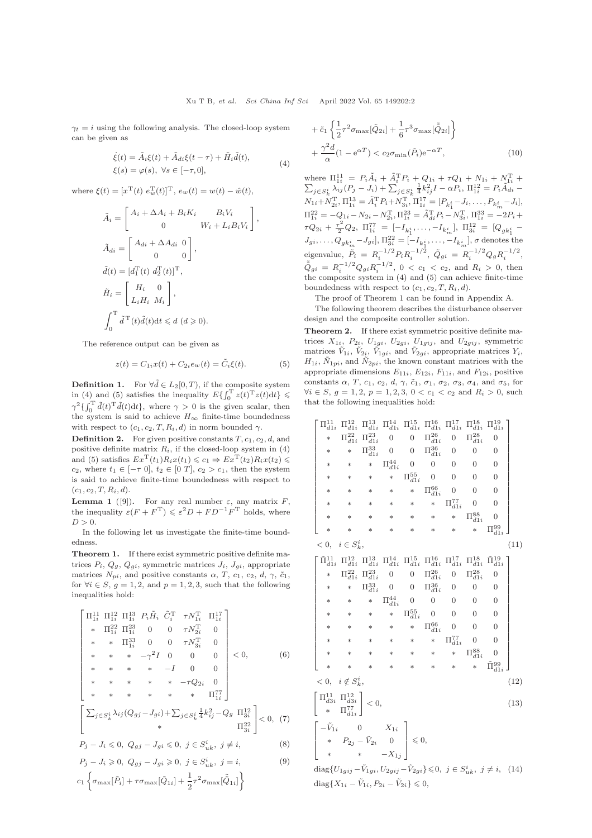$\gamma_t = i$  using the following analysis. The closed-loop system can be given as

$$
\dot{\xi}(t) = \tilde{A}_i \xi(t) + \tilde{A}_{di} \xi(t - \tau) + \tilde{H}_i \tilde{d}(t),
$$
  
 
$$
\xi(s) = \varphi(s), \ \forall s \in [-\tau, 0],
$$
 (4)

where  $\xi(t) = [x^{\text{T}}(t) \ e_w^{\text{T}}(t)]^{\text{T}}$ ,  $e_w(t) = w(t) - \hat{w}(t)$ ,

$$
\tilde{A}_i = \begin{bmatrix} A_i + \Delta A_i + B_i K_i & B_i V_i \\ 0 & W_i + L_i B_i V_i \end{bmatrix},
$$
  
\n
$$
\tilde{A}_{di} = \begin{bmatrix} A_{di} + \Delta A_{di} & 0 \\ 0 & 0 \end{bmatrix},
$$
  
\n
$$
\tilde{d}(t) = [d_1^\text{T}(t) \ d_2^\text{T}(t)]^\text{T},
$$
  
\n
$$
\tilde{H}_i = \begin{bmatrix} H_i & 0 \\ L_i H_i & M_i \end{bmatrix},
$$
  
\n
$$
\int_0^\text{T} \tilde{d}^\text{T}(t) \tilde{d}(t) dt \leq d \ (d \geq 0).
$$

The reference output can be given as

$$
z(t) = C_{1i}x(t) + C_{2i}e_w(t) = \tilde{C}_i\xi(t).
$$
 (5)

**Definition 1.** For  $\forall \tilde{d} \in L_2[0, T)$ , if the composite system in (4) and (5) satisfies the inequality  $E\{\int_0^T z(t)^T z(t) dt\}$  $\gamma^2\{\int_0^T \tilde{d}(t)^T \tilde{d}(t) dt\}$ , where  $\gamma > 0$  is the given scalar, then the system is said to achieve  $H_{\infty}$  finite-time boundedness with respect to  $(c_1, c_2, T, R_i, d)$  in norm bounded  $\gamma$ .

**Definition 2.** For given positive constants  $T$ ,  $c_1$ ,  $c_2$ ,  $d$ , and positive definite matrix  $R_i$ , if the closed-loop system in (4) and (5) satisfies  $Ex^{\mathrm{T}}(t_1)R_ix(t_1) \leq c_1 \Rightarrow Ex^{\mathrm{T}}(t_2)R_ix(t_2) \leq$ c<sub>2</sub>, where  $t_1 \in [-\tau \ 0], t_2 \in [0 \ T], c_2 > c_1$ , then the system is said to achieve finite-time boundedness with respect to  $(c_1, c_2, T, R_i, d).$ 

**Lemma 1** ([\[9\]](#page-2-9)). For any real number  $\varepsilon$ , any matrix F, the inequality  $\varepsilon (F + F^{T}) \leqslant \varepsilon^{2} D + FD^{-1}F^{T}$  holds, where  $D > 0$ .

In the following let us investigate the finite-time boundedness.

Theorem 1. If there exist symmetric positive definite matrices  $P_i$ ,  $Q_g$ ,  $Q_{gi}$ , symmetric matrices  $J_i$ ,  $J_{gi}$ , appropriate matrices  $N_{pi}$ , and positive constants  $\alpha$ , T,  $c_1$ ,  $c_2$ , d,  $\gamma$ ,  $\tilde{c}_1$ , for  $\forall i \in S, g = 1, 2, \text{ and } p = 1, 2, 3, \text{ such that the following}$ inequalities hold:

$$
\begin{bmatrix}\n\Pi_{1i}^{11} \ \Pi_{1i}^{12} \ \Pi_{1i}^{13} \ P_i \tilde{H}_i \ \tilde{C}_i^T \ \tau N_{1i}^T \ \Pi_{1i}^{17} \\
* \ \Pi_{1i}^{22} \ \Pi_{1i}^{23} \ 0 \ 0 \ \tau N_{2i}^T \ 0 \\
* \ \ast \ \Pi_{1i}^{33} \ 0 \ 0 \ \tau N_{3i}^T \ 0 \\
* \ \ast \ \ast \ \ast \ -\gamma^2 I \ 0 \ 0 \ 0 \ 0 \\
* \ \ast \ \ast \ \ast \ \ast \ -I \ 0 \ 0 \\
* \ \ast \ \ast \ \ast \ \ast \ \ast \ \Pi_{1i}^{77}\n\end{bmatrix}
$$
\n
$$
\begin{bmatrix}\n\sum_{j \in S_k^i} \lambda_{ij} (Q_{gj} - J_{gi}) + \sum_{j \in S_k^i} \frac{1}{4} k_{ij}^2 - Q_g \ \Pi_{3i}^{12} \\
* \ \sum_{j \in S_k^i} \lambda_{ij} (Q_{gj} - J_{gi}) + \sum_{j \in S_k^i} \frac{1}{4} k_{ij}^2 - Q_g \ \Pi_{3i}^{12} \\
* \ \Pi_{3i}^{22}\n\end{bmatrix} < 0, (7)
$$
\n
$$
P_j - J_i \leq 0, Q_{gj} - J_{gi} \leq 0, j \in S_{uk}^i, j \neq i,
$$
\n
$$
(8)
$$
\n
$$
P_j - J_i \geq 0, Q_{gj} - J_{gi} \geq 0, j \in S_{uk}^i, j = i,
$$
\n
$$
(9)
$$

$$
c_1\left\{\sigma_{\max}[\tilde{P}_i]+\tau\sigma_{\max}[\tilde{Q}_{1i}]+\frac{1}{2}\tau^2\sigma_{\max}[\tilde{\tilde{Q}}_{1i}]\right\}
$$

$$
+\tilde{c}_1\left\{\frac{1}{2}\tau^2\sigma_{\max}[\tilde{Q}_{2i}] + \frac{1}{6}\tau^3\sigma_{\max}[\tilde{Q}_{2i}]\right\} +\frac{\gamma^2d}{\alpha}(1 - e^{\alpha T}) < c_2\sigma_{\min}(\tilde{P}_i)e^{-\alpha T},
$$
\n(10)

where  $\Pi_{1i}^{11} = P_i \tilde{A}_i + \tilde{A}_i^T P_i + Q_{1i} + \tau Q_1 + N_{1i} + N_{1i}^T + \sum_{j \in S_k^i} \lambda_{ij} (P_j - J_i) + \sum_{j \in S_k^i} \frac{1}{4} k_{ij}^2 I - \alpha P_i$ ,  $\Pi_{1i}^{12} = P_i \tilde{A}_{di} \frac{1}{4}k_{ij}^2I - \alpha P_i$ ,  $\Pi_{1i}^{12} = P_i\tilde{A}_{di}^{i}$  $N_{1i} + N_{2i}^{\mathrm{T}}, \Pi_{1i}^{13} = \tilde{A}_{i}^{\mathrm{T}} P_{i} + N_{3i}^{\mathrm{T}}, \Pi_{1i}^{17} = [P_{k_{1}^{i}} - J_{i}, \ldots, P_{k_{m}^{i}} - J_{i}],$  $\Pi_{1i}^{2i} = -Q_{1i} - N_{2i} - N_{2i}^{T}$ ,  $\Pi_{1i}^{23} = \tilde{A}_{di}^{T}P_{i} - N_{3i}^{T}$ ,  $\Pi_{1i}^{33} = -2P_{i} +$  $\tau Q_{2i} + \frac{\tau^2}{2} Q_2, \ \Pi_{1i}^{77} = [-I_{k_1^i}, \ldots, -I_{k_m^i}], \ \Pi_{3i}^{12} = [Q_{gk_1^i} J_{gi},\ldots,Q_{g k_m^i}-J_{gi}], \Pi^{22}_{3i}=[-I_{k_1^i},\ldots,-I_{k_m^i}], \sigma \text{ denotes the }$ eigenvalue,  $\tilde{P}_i = R_i^{-1/2} P_i R_i^{-1/2}, \ \tilde{Q}_{gi} = R_i^{-1/2} Q_g R_i^{-1/2},$  $\tilde{\tilde{Q}}_{gi} = R_i^{-1/2} Q_{gi} R_i^{-1/2}, 0 < c_1 < c_2$ , and  $R_i > 0$ , then the composite system in (4) and (5) can achieve finite-time boundedness with respect to  $(c_1, c_2, T, R_i, d)$ .

The proof of Theorem 1 can be found in Appendix A.

The following theorem describes the disturbance observer design and the composite controller solution.

Theorem 2. If there exist symmetric positive definite matrices  $X_{1i}$ ,  $P_{2i}$ ,  $U_{1gi}$ ,  $U_{2gi}$ ,  $U_{1gij}$ , and  $U_{2gij}$ , symmetric matrices  $\tilde{V}_{1i}$ ,  $\tilde{V}_{2i}$ ,  $\tilde{V}_{1gi}$ , and  $\tilde{V}_{2gi}$ , appropriate matrices  $Y_i$ ,  $H_{1i}$ ,  $\tilde{N}_{1pi}$ , and  $\tilde{N}_{2pi}$ , the known constant matrices with the appropriate dimensions  $E_{11i}$ ,  $E_{12i}$ ,  $F_{11i}$ , and  $F_{12i}$ , positive constants  $\alpha$ , T,  $c_1$ ,  $c_2$ ,  $d$ ,  $\gamma$ ,  $\tilde{c}_1$ ,  $\sigma_1$ ,  $\sigma_2$ ,  $\sigma_3$ ,  $\sigma_4$ , and  $\sigma_5$ , for  $\forall i \in S, g = 1, 2, p = 1, 2, 3, 0 < c_1 < c_2$  and  $R_i > 0$ , such that the following inequalities hold:

$$
\begin{bmatrix}\n\Pi_{d1i}^{11} & \Pi_{d1i}^{12} & \Pi_{d1i}^{13} & \Pi_{d1i}^{15} & \Pi_{d1i}^{15} & \Pi_{d1i}^{17} & \Pi_{d1i}^{18} & \Pi_{d1i}^{19} \\
* & \Pi_{d1i}^{22} & \Pi_{d1i}^{23} & 0 & 0 & \Pi_{d1i}^{26} & 0 & \Pi_{d1i}^{28} & 0 \\
* & * & \Pi_{d1i}^{33} & 0 & 0 & \Pi_{d1i}^{36} & 0 & 0 & 0 \\
* & * & * & \Pi_{d1i}^{44} & 0 & 0 & 0 & 0 & 0 \\
* & * & * & * & \Pi_{d1i}^{65} & 0 & 0 & 0 & 0 \\
* & * & * & * & * & \Pi_{d1i}^{66} & 0 & 0 & 0 \\
* & * & * & * & * & \Pi_{d1i}^{77} & 0 & 0 \\
* & * & * & * & * & * & \Pi_{d1i}^{77} & 0 & 0 \\
* & * & * & * & * & * & * & \Pi_{d1i}^{81} & 0 \\
* & * & * & * & * & * & * & \Pi_{d1i}^{81} & 0 \\
* & * & * & * & * & * & * & \Pi_{d1i}^{81} & 0 \\
* & \Pi_{d1i}^{21} & \Pi_{d1i}^{13} & \Pi_{d1i}^{14} & \Pi_{d1i}^{15} & \Pi_{d1i}^{16} & \Pi_{d1i}^{17} & \Pi_{d1i}^{18} & 0 \\
* & * & \Pi_{d1i}^{22} & \Pi_{d1i}^{23} & 0 & 0 & \Pi_{d1i}^{26} & 0 & 0 & 0 \\
* & * & * & * & \Pi_{d1i}^{45} & 0 & 0 & 0 & 0 & 0 \\
* & * & * & * & * & \Pi_{d1i}^{65} & 0 & 0 & 0 & 0 \\
* & * & * & * & * & \Pi_{d1i}^{67} & 0 & 0 & 0 & 0 \\
* & * & * & * & * & * & \Pi_{d1i}^{77} & 0 & 0 & 0 \\
* & * & * & * & * & * & \Pi_{d1i}^{77} & 0 & 0 &
$$